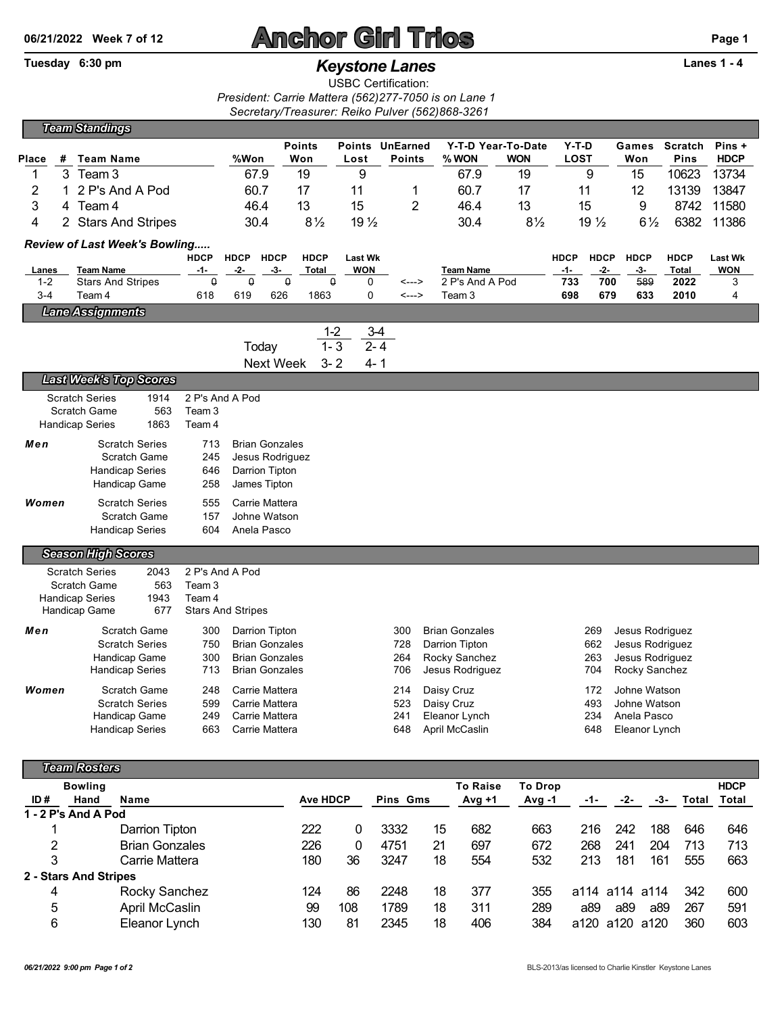## **06/21/2022 Week 7 of 12 Anchor Girl Trios Page 1**

## Tuesday 6:30 pm *Keystone Lanes* **Lanes 1 - 4**

USBC Certification:

*President: Carrie Mattera (562)277-7050 is on Lane 1 Secretary/Treasurer: Reiko Pulver (562)868-3261*

|                         |   | <b>Team Standings</b>                                 |                                 |                    |                                   |                      |                              |                 |                       |                    |                      |                    |                    |                      |                              |  |
|-------------------------|---|-------------------------------------------------------|---------------------------------|--------------------|-----------------------------------|----------------------|------------------------------|-----------------|-----------------------|--------------------|----------------------|--------------------|--------------------|----------------------|------------------------------|--|
|                         |   |                                                       |                                 |                    |                                   | <b>Points</b>        |                              | Points UnEarned |                       | Y-T-D Year-To-Date | $Y-T-D$              |                    | Games              | <b>Scratch</b>       | Pins +                       |  |
| Place                   | # | <b>Team Name</b>                                      |                                 | %Won               |                                   | Won                  | Lost                         | <b>Points</b>   | % WON                 | <b>WON</b>         | <b>LOST</b>          |                    | Won                | Pins                 | <b>HDCP</b>                  |  |
| 1                       | 3 | Team 3                                                |                                 | 67.9               |                                   | 19                   | 9                            |                 | 67.9                  | 19                 |                      | 9                  | 15                 | 10623                | 13734                        |  |
| $\overline{\mathbf{c}}$ | 1 | 2 P's And A Pod                                       |                                 | 60.7               |                                   | 17                   | 11                           | 1               | 60.7                  | 17                 |                      | 11                 | 12                 | 13139                | 13847                        |  |
| 3                       |   | 4 Team 4                                              |                                 | 46.4               |                                   | 13                   | 15                           | 2               | 46.4                  | 13                 |                      | 15                 | 9                  | 8742                 | 11580                        |  |
| 4                       |   | 2 Stars And Stripes                                   |                                 | 30.4               |                                   | $8\frac{1}{2}$       | 19 <sub>2</sub>              |                 | 30.4                  | $8\frac{1}{2}$     |                      | $19\frac{1}{2}$    | $6\frac{1}{2}$     | 6382                 | 11386                        |  |
|                         |   | Review of Last Week's Bowling                         |                                 |                    |                                   |                      |                              |                 |                       |                    |                      |                    |                    |                      |                              |  |
| Lanes                   |   | <b>Team Name</b>                                      | <b>HDCP</b><br>$-1-$            | <b>HDCP</b><br>-2- | <b>HDCP</b><br>-3-                | <b>HDCP</b><br>Total | <b>Last Wk</b><br><b>WON</b> |                 | <b>Team Name</b>      |                    | <b>HDCP</b><br>$-1-$ | <b>HDCP</b><br>-2- | <b>HDCP</b><br>-3- | <b>HDCP</b><br>Total | <b>Last Wk</b><br><b>WON</b> |  |
| $1 - 2$                 |   | <b>Stars And Stripes</b>                              | $\mathsf 0$                     | $\mathsf{Q}$       | $\overline{\mathfrak{g}}$         |                      | $\Omega$<br>0                | <--->           | 2 P's And A Pod       |                    | 733                  | 700                | 589                | 2022                 | 3                            |  |
| $3 - 4$                 |   | Team 4                                                | 618                             | 619                | 626                               | 1863                 | 0                            | <--->           | Team <sub>3</sub>     |                    | 698                  | 679                | 633                | 2010                 | 4                            |  |
|                         |   | <b>Lane Assignments</b>                               |                                 |                    |                                   |                      |                              |                 |                       |                    |                      |                    |                    |                      |                              |  |
|                         |   |                                                       |                                 |                    |                                   | $1 - 2$              |                              | $3-4$           |                       |                    |                      |                    |                    |                      |                              |  |
|                         |   |                                                       |                                 |                    | Today                             | $1 - 3$              |                              | $2 - 4$         |                       |                    |                      |                    |                    |                      |                              |  |
|                         |   |                                                       |                                 |                    | <b>Next Week</b>                  | $3 - 2$              | $4 - 1$                      |                 |                       |                    |                      |                    |                    |                      |                              |  |
|                         |   | <b>Last Week's Top Scores</b>                         |                                 |                    |                                   |                      |                              |                 |                       |                    |                      |                    |                    |                      |                              |  |
|                         |   | <b>Scratch Series</b><br>1914                         | 2 P's And A Pod                 |                    |                                   |                      |                              |                 |                       |                    |                      |                    |                    |                      |                              |  |
|                         |   | <b>Scratch Game</b><br>1863<br><b>Handicap Series</b> | 563<br>Team 3<br>Team 4         |                    |                                   |                      |                              |                 |                       |                    |                      |                    |                    |                      |                              |  |
|                         |   |                                                       |                                 |                    |                                   |                      |                              |                 |                       |                    |                      |                    |                    |                      |                              |  |
| Men                     |   | <b>Scratch Series</b><br><b>Scratch Game</b>          | 713<br>245                      |                    | <b>Brian Gonzales</b>             |                      |                              |                 |                       |                    |                      |                    |                    |                      |                              |  |
|                         |   | <b>Handicap Series</b>                                | 646                             |                    | Jesus Rodriguez<br>Darrion Tipton |                      |                              |                 |                       |                    |                      |                    |                    |                      |                              |  |
|                         |   | Handicap Game                                         | 258                             |                    | James Tipton                      |                      |                              |                 |                       |                    |                      |                    |                    |                      |                              |  |
| Women                   |   | <b>Scratch Series</b>                                 | 555                             |                    | Carrie Mattera                    |                      |                              |                 |                       |                    |                      |                    |                    |                      |                              |  |
|                         |   | <b>Scratch Game</b>                                   | 157                             |                    | Johne Watson                      |                      |                              |                 |                       |                    |                      |                    |                    |                      |                              |  |
|                         |   | <b>Handicap Series</b>                                | 604                             |                    | Anela Pasco                       |                      |                              |                 |                       |                    |                      |                    |                    |                      |                              |  |
|                         |   | <b>Season High Scores</b>                             |                                 |                    |                                   |                      |                              |                 |                       |                    |                      |                    |                    |                      |                              |  |
|                         |   | <b>Scratch Series</b><br>2043                         | 2 P's And A Pod                 |                    |                                   |                      |                              |                 |                       |                    |                      |                    |                    |                      |                              |  |
|                         |   | <b>Scratch Game</b>                                   | 563<br>Team <sub>3</sub>        |                    |                                   |                      |                              |                 |                       |                    |                      |                    |                    |                      |                              |  |
|                         |   | 1943<br><b>Handicap Series</b>                        | Team 4                          |                    |                                   |                      |                              |                 |                       |                    |                      |                    |                    |                      |                              |  |
|                         |   | Handicap Game                                         | 677<br><b>Stars And Stripes</b> |                    |                                   |                      |                              |                 |                       |                    |                      |                    |                    |                      |                              |  |
| Men                     |   | Scratch Game                                          | 300                             |                    | Darrion Tipton                    |                      |                              | 300             | <b>Brian Gonzales</b> |                    |                      | 269                | Jesus Rodriguez    |                      |                              |  |
|                         |   | <b>Scratch Series</b>                                 | 750                             |                    | <b>Brian Gonzales</b>             |                      |                              | 728             | Darrion Tipton        |                    |                      | 662                | Jesus Rodriguez    |                      |                              |  |
|                         |   | Handicap Game                                         | 300                             |                    | <b>Brian Gonzales</b>             |                      |                              | 264             | Rocky Sanchez         |                    |                      | 263                |                    | Jesus Rodriguez      |                              |  |
|                         |   | Handicap Series                                       | 713                             |                    | <b>Brian Gonzales</b>             |                      |                              | 706             | Jesus Rodriguez       |                    |                      | 704                | Rocky Sanchez      |                      |                              |  |
| Women                   |   | <b>Scratch Game</b>                                   | 248                             |                    | Carrie Mattera                    |                      |                              | 214             | Daisy Cruz            |                    |                      | 172                | Johne Watson       |                      |                              |  |
|                         |   | <b>Scratch Series</b>                                 | 599                             |                    | Carrie Mattera                    |                      |                              | 523             | Daisy Cruz            |                    |                      | 493                | Johne Watson       |                      |                              |  |
|                         |   | Handicap Game                                         | 249                             |                    | Carrie Mattera                    |                      |                              | 241             | Eleanor Lynch         |                    |                      | 234                | Anela Pasco        |                      |                              |  |
|                         |   | <b>Handicap Series</b>                                | 663                             |                    | Carrie Mattera                    |                      |                              | 648             | April McCaslin        |                    |                      | 648                | Eleanor Lynch      |                      |                              |  |
|                         |   |                                                       |                                 |                    |                                   |                      |                              |                 |                       |                    |                      |                    |                    |                      |                              |  |

| <b>Team Rosters</b> |                       |                       |  |                 |     |          |    |                 |                |      |                |       |       |             |
|---------------------|-----------------------|-----------------------|--|-----------------|-----|----------|----|-----------------|----------------|------|----------------|-------|-------|-------------|
|                     | <b>Bowling</b>        |                       |  |                 |     |          |    | <b>To Raise</b> | <b>To Drop</b> |      |                |       |       | <b>HDCP</b> |
| ID#                 | Hand                  | Name                  |  | <b>Ave HDCP</b> |     | Pins Gms |    | $Avg +1$        | Avg -1         | -1-  | -2-            | -3-   | Total | Total       |
| 1 - 2 P's And A Pod |                       |                       |  |                 |     |          |    |                 |                |      |                |       |       |             |
|                     |                       | Darrion Tipton        |  | 222             | 0   | 3332     | 15 | 682             | 663            | 216  | 242            | 188   | 646   | 646         |
| 2                   |                       | <b>Brian Gonzales</b> |  | 226             | 0   | 4751     | 21 | 697             | 672            | 268  | 241            | 204   | 713   | 713         |
| 3                   |                       | Carrie Mattera        |  | 180             | 36  | 3247     | 18 | 554             | 532            | 213  | 181            | 161   | 555   | 663         |
|                     | 2 - Stars And Stripes |                       |  |                 |     |          |    |                 |                |      |                |       |       |             |
| 4                   |                       | Rocky Sanchez         |  | 124             | 86  | 2248     | 18 | 377             | 355            |      | a114 a114 a114 |       | 342   | 600         |
| 5                   |                       | April McCaslin        |  | 99              | 108 | 1789     | 18 | 311             | 289            | a89  | a89            | a89   | 267   | 591         |
| 6                   |                       | Eleanor Lynch         |  | 130             | 81  | 2345     | 18 | 406             | 384            | a120 | a120           | .a120 | 360   | 603         |